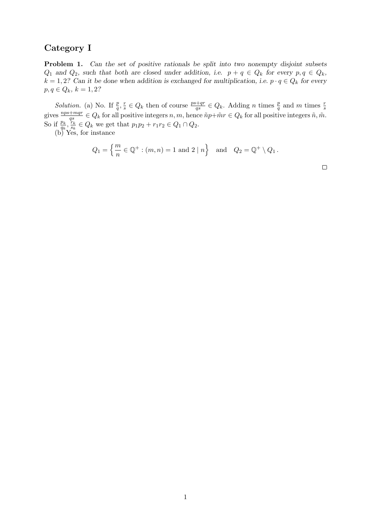## Category I

Problem 1. Can the set of positive rationals be split into two nonempty disjoint subsets  $Q_1$  and  $Q_2$ , such that both are closed under addition, i.e.  $p + q \in Q_k$  for every  $p, q \in Q_k$ ,  $k = 1, 2$ ? Can it be done when addition is exchanged for multiplication, i.e.  $p \cdot q \in Q_k$  for every  $p, q \in Q_k, k = 1, 2?$ 

*Solution.* (a) No. If  $\frac{p}{q}$ ,  $\frac{r}{s}$ *Solution.* (a) No. If  $\frac{p}{q}, \frac{r}{s} \in Q_k$  then of course  $\frac{ps+qr}{qs} \in Q_k$ . Adding *n* times  $\frac{p}{q}$  and *m* times  $\frac{r}{s}$  gives  $\frac{nps+mqr}{qs} \in Q_k$  for all positive integers  $\tilde{n}, \tilde{m}$ . So if  $\frac{p_k}{q_k}$ ,  $\frac{r_k}{s_k}$  $\frac{r_k}{s_k} \in Q_k$  we get that  $p_1p_2 + r_1r_2 \in Q_1 \cap Q_2$ .

(b) Yes, for instance

$$
Q_1 = \left\{ \frac{m}{n} \in \mathbb{Q}^+ : (m, n) = 1 \text{ and } 2 \mid n \right\} \text{ and } Q_2 = \mathbb{Q}^+ \setminus Q_1.
$$

 $\Box$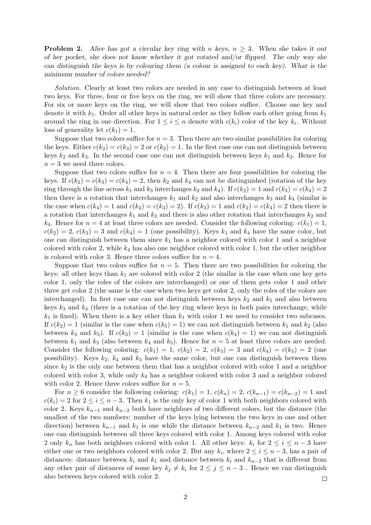**Problem 2.** Alice has got a circular key ring with n keys,  $n \geq 3$ . When she takes it out of her pocket, she does not know whether it got rotated and/or flipped. The only way she can distinguish the keys is by colouring them (a colour is assigned to each key). What is the minimum number of colors needed?

Solution. Clearly at least two colors are needed in any case to distinguish between at least two keys. For three, four or five keys on the ring, we will show that three colors are necessary. For six or more keys on the ring, we will show that two colors suffice. Choose one key and denote it with  $k_1$ . Order all other keys in natural order as they follow each other going from  $k_1$ around the ring in one direction. For  $1 \leq i \leq n$  denote with  $c(k_i)$  color of the key  $k_i$ . Without loss of generality let  $c(k_1) = 1$ .

Suppose that two colors suffice for  $n = 3$ . Then there are two similar possibilities for coloring the keys. Either  $c(k_2) = c(k_3) = 2$  or  $c(k_2) = 1$ . In the first case one can not distinguish between keys  $k_2$  and  $k_3$ . In the second case one can not distinguish between keys  $k_1$  and  $k_2$ . Hence for  $n = 3$  we need three colors.

Suppose that two colors suffice for  $n = 4$ . Then there are four possibilities for coloring the keys. If  $c(k_2) = c(k_3) = c(k_4) = 2$ , then  $k_2$  and  $k_4$  can not be distinguished (rotation of the key ring through the line across  $k_1$  and  $k_3$  interchanges  $k_2$  and  $k_4$ ). If  $c(k_2) = 1$  and  $c(k_3) = c(k_4) = 2$ then there is a rotation that interchanges  $k_1$  and  $k_2$  and also interchanges  $k_3$  and  $k_4$  (similar is the case when  $c(k_4) = 1$  and  $c(k_2) = c(k_3) = 2$ . If  $c(k_3) = 1$  and  $c(k_2) = c(k_4) = 2$  then there is a rotation that interchanges  $k_1$  and  $k_3$  and there is also other rotation that interchanges  $k_2$  and  $k_4$ . Hence for  $n = 4$  at least three colors are needed. Consider the following coloring:  $c(k_1) = 1$ ,  $c(k_2) = 2, c(k_3) = 3$  and  $c(k_4) = 1$  (one possibility). Keys  $k_1$  and  $k_4$  have the same color, but one can distinguish between them since  $k_1$  has a neighbor colored with color 1 and a neighbor colored with color 2, while  $k_4$  has also one neighbor colored with color 1, but the other neighbor is colored with color 3. Hence three colors suffice for  $n = 4$ .

Suppose that two colors suffice for  $n = 5$ . Then there are two possibilities for coloring the keys: all other keys than  $k_1$  are colored with color 2 (the similar is the case when one key gets color 1, only the roles of the colors are interchanged) or one of them gets color 1 and other three get color 2 (the same is the case when two keys get color 2, only the roles of the colors are interchanged). In first case one can not distinguish between keys  $k_2$  and  $k_5$  and also between keys  $k_3$  and  $k_4$  (there is a rotation of the key ring where keys in both pairs interchange, while  $k_1$  is fixed). When there is a key other than  $k_1$  with color 1 we need to consider two subcases. If  $c(k_2) = 1$  (similar is the case when  $c(k_5) = 1$ ) we can not distinguish between  $k_1$  and  $k_2$  (also between  $k_3$  and  $k_5$ ). If  $c(k_3) = 1$  (similar is the case when  $c(k_4) = 1$ ) we can not distinguish between  $k_1$  and  $k_3$  (also between  $k_4$  and  $k_5$ ). Hence for  $n=5$  at least three colors are needed. Consider the following coloring:  $c(k_1) = 1$ ,  $c(k_2) = 2$ ,  $c(k_3) = 3$  and  $c(k_4) = c(k_5) = 2$  (one possibility). Keys  $k_2$ ,  $k_4$  and  $k_5$  have the same color, but one can distinguish between them since  $k_2$  is the only one between them that has a neighbor colored with color 1 and a neighbor colored with color 3, while only  $k_4$  has a neighbor colored with color 3 and a neighbor colored with color 2. Hence three colors suffice for  $n = 5$ .

For  $n \geq 6$  consider the following coloring:  $c(k_1) = 1$ ,  $c(k_n) = 2$ ,  $c(k_{n-1}) = c(k_{n-2}) = 1$  and  $c(k_i) = 2$  for  $2 \le i \le n-3$ . Then  $k_1$  is the only key of color 1 with both neighbors colored with color 2. Keys  $k_{n-1}$  and  $k_{n-2}$  both have neighbors of two different colors, but the distance (the smallest of the two numbers: number of the keys lying between the two keys in one and other direction) between  $k_{n-1}$  and  $k_1$  is one while the distance between  $k_{n-2}$  and  $k_1$  is two. Hence one can distinguish between all three keys colored with color 1. Among keys colored with color 2 only  $k_n$  has both neighbors colored with color 1. All other keys:  $k_i$  for  $2 \leq i \leq n-3$  have either one or two neighbors colored with color 2. But any  $k_i$ , where  $2 \le i \le n-3$ , has a pair of distances: distance between  $k_i$  and  $k_1$  and distance between  $k_i$  and  $k_{n-2}$  that is different from any other pair of distances of some key  $k_j \neq k_i$  for  $2 \leq j \leq n-3$ . Hence we can distinguish also between keys colored with color 2.  $\Box$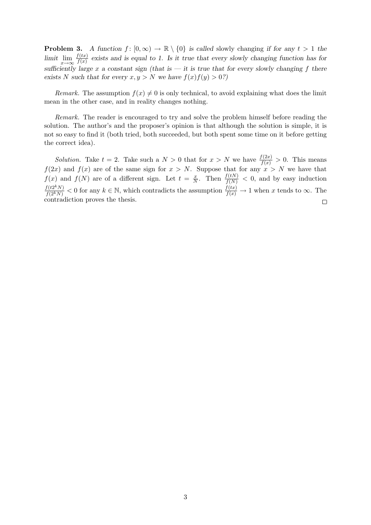**Problem 3.** A function  $f : [0, \infty) \to \mathbb{R} \setminus \{0\}$  is called slowly changing if for any  $t > 1$  the limit  $\lim_{x \to \infty} \frac{f(tx)}{f(x)}$  $\frac{f(tx)}{f(x)}$  exists and is equal to 1. Is it true that every slowly changing function has for sufficiently large x a constant sign (that is  $-$  it is true that for every slowly changing f there exists N such that for every  $x, y > N$  we have  $f(x)f(y) > 0$ ?)

Remark. The assumption  $f(x) \neq 0$  is only technical, to avoid explaining what does the limit mean in the other case, and in reality changes nothing.

Remark. The reader is encouraged to try and solve the problem himself before reading the solution. The author's and the proposer's opinion is that although the solution is simple, it is not so easy to find it (both tried, both succeeded, but both spent some time on it before getting the correct idea).

Solution. Take  $t = 2$ . Take such a  $N > 0$  that for  $x > N$  we have  $\frac{f(2x)}{f(x)} > 0$ . This means  $f(2x)$  and  $f(x)$  are of the same sign for  $x > N$ . Suppose that for any  $x > N$  we have that  $f(x)$  and  $f(N)$  are of a different sign. Let  $t = \frac{x}{N}$  $\frac{x}{N}$ . Then  $\frac{f(tN)}{f(N)} < 0$ , and by easy induction  $f(t2^kN)$  $\frac{f(t2^kN)}{f(2^kN)} < 0$  for any  $k \in \mathbb{N}$ , which contradicts the assumption  $\frac{f(tx)}{f(x)} \to 1$  when x tends to  $\infty$ . The contradiction proves the thesis.  $\Box$